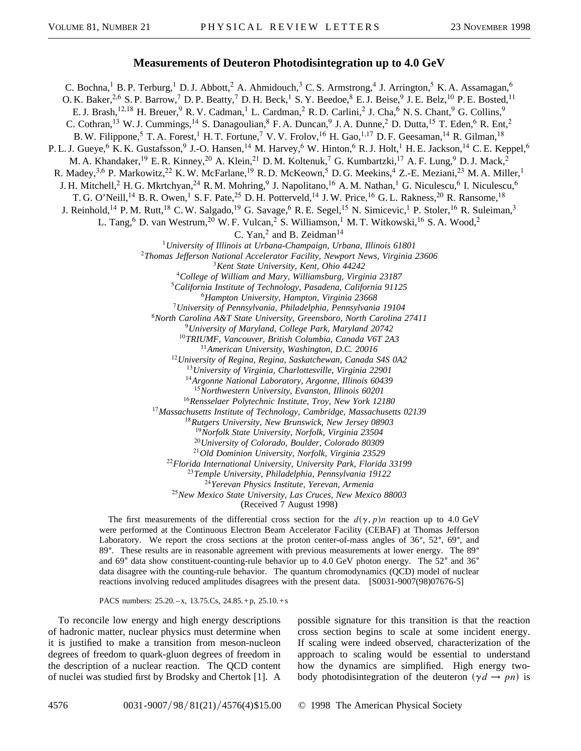## **Measurements of Deuteron Photodisintegration up to 4.0 GeV**

C. Bochna,<sup>1</sup> B. P. Terburg,<sup>1</sup> D. J. Abbott,<sup>2</sup> A. Ahmidouch,<sup>3</sup> C. S. Armstrong,<sup>4</sup> J. Arrington,<sup>5</sup> K. A. Assamagan,<sup>6</sup> O. K. Baker,  $^{2,6}$  S. P. Barrow,<sup>7</sup> D. P. Beatty,<sup>7</sup> D. H. Beck,<sup>1</sup> S. Y. Beedoe,<sup>8</sup> E. J. Beise,<sup>9</sup> J. E. Belz,<sup>10</sup> P. E. Bosted,<sup>11</sup> E. J. Brash,<sup>12,18</sup> H. Breuer,<sup>9</sup> R. V. Cadman,<sup>1</sup> L. Cardman,<sup>2</sup> R. D. Carlini,<sup>2</sup> J. Cha,<sup>6</sup> N. S. Chant,<sup>9</sup> G. Collins,<sup>9</sup> C. Cothran,<sup>13</sup> W. J. Cummings,<sup>14</sup> S. Danagoulian,<sup>8</sup> F. A. Duncan,<sup>9</sup> J. A. Dunne,<sup>2</sup> D. Dutta,<sup>15</sup> T. Eden,<sup>6</sup> R. Ent,<sup>2</sup> B. W. Filippone,<sup>5</sup> T. A. Forest,<sup>1</sup> H. T. Fortune,<sup>7</sup> V. V. Frolov,<sup>16</sup> H. Gao,<sup>1,17</sup> D. F. Geesaman,<sup>14</sup> R. Gilman,<sup>18</sup> P. L. J. Gueye,<sup>6</sup> K. K. Gustafsson,<sup>9</sup> J.-O. Hansen,<sup>14</sup> M. Harvey,<sup>6</sup> W. Hinton,<sup>6</sup> R. J. Holt,<sup>1</sup> H. E. Jackson,<sup>14</sup> C. E. Keppel,<sup>6</sup> M. A. Khandaker,<sup>19</sup> E. R. Kinney,<sup>20</sup> A. Klein,<sup>21</sup> D. M. Koltenuk,<sup>7</sup> G. Kumbartzki,<sup>17</sup> A. F. Lung,<sup>9</sup> D. J. Mack,<sup>2</sup> R. Madey, <sup>3,6</sup> P. Markowitz, <sup>22</sup> K. W. McFarlane, <sup>19</sup> R. D. McKeown, <sup>5</sup> D. G. Meekins, <sup>4</sup> Z.-E. Meziani, <sup>23</sup> M. A. Miller, <sup>1</sup> J. H. Mitchell,<sup>2</sup> H. G. Mkrtchyan,<sup>24</sup> R. M. Mohring,<sup>9</sup> J. Napolitano,<sup>16</sup> A. M. Nathan,<sup>1</sup> G. Niculescu,<sup>6</sup> I. Niculescu,<sup>6</sup> T. G. O'Neill,<sup>14</sup> B. R. Owen,<sup>1</sup> S. F. Pate,<sup>25</sup> D. H. Potterveld,<sup>14</sup> J. W. Price,<sup>16</sup> G. L. Rakness,<sup>20</sup> R. Ransome,<sup>18</sup> J. Reinhold,<sup>14</sup> P.M. Rutt,<sup>18</sup> C.W. Salgado,<sup>19</sup> G. Savage,<sup>6</sup> R.E. Segel,<sup>15</sup> N. Simicevic,<sup>1</sup> P. Stoler,<sup>16</sup> R. Suleiman,<sup>3</sup> L. Tang, <sup>6</sup> D. van Westrum, <sup>20</sup> W. F. Vulcan, <sup>2</sup> S. Williamson, <sup>1</sup> M. T. Witkowski, <sup>16</sup> S. A. Wood, <sup>2</sup> C. Yan,<sup>2</sup> and B. Zeidman<sup>14</sup> *University of Illinois at Urbana-Champaign, Urbana, Illinois 61801 Thomas Jefferson National Accelerator Facility, Newport News, Virginia 23606 Kent State University, Kent, Ohio 44242 College of William and Mary, Williamsburg, Virginia 23187 California Institute of Technology, Pasadena, California 91125 Hampton University, Hampton, Virginia 23668 University of Pennsylvania, Philadelphia, Pennsylvania 19104 North Carolina A&T State University, Greensboro, North Carolina 27411 University of Maryland, College Park, Maryland 20742 TRIUMF, Vancouver, British Columbia, Canada V6T 2A3 American University, Washington, D.C. 20016 University of Regina, Regina, Saskatchewan, Canada S4S 0A2 University of Virginia, Charlottesville, Virginia 22901 Argonne National Laboratory, Argonne, Illinois 60439 Northwestern University, Evanston, Illinois 60201 Rensselaer Polytechnic Institute, Troy, New York 12180 Massachusetts Institute of Technology, Cambridge, Massachusetts 02139 Rutgers University, New Brunswick, New Jersey 08903 Norfolk State University, Norfolk, Virginia 23504 University of Colorado, Boulder, Colorado 80309 Old Dominion University, Norfolk, Virginia 23529 Florida International University, University Park, Florida 33199 Temple University, Philadelphia, Pennsylvania 19122 Yerevan Physics Institute, Yerevan, Armenia New Mexico State University, Las Cruces, New Mexico 88003* (Received 7 August 1998)

> The first measurements of the differential cross section for the  $d(\gamma, p)n$  reaction up to 4.0 GeV were performed at the Continuous Electron Beam Accelerator Facility (CEBAF) at Thomas Jefferson Laboratory. We report the cross sections at the proton center-of-mass angles of  $36^{\circ}$ ,  $52^{\circ}$ ,  $69^{\circ}$ , and 89<sup>o</sup>. These results are in reasonable agreement with previous measurements at lower energy. The 89<sup>o</sup> and  $69^{\circ}$  data show constituent-counting-rule behavior up to 4.0 GeV photon energy. The  $52^{\circ}$  and  $36^{\circ}$ data disagree with the counting-rule behavior. The quantum chromodynamics (QCD) model of nuclear reactions involving reduced amplitudes disagrees with the present data. [S0031-9007(98)07676-5]

PACS numbers:  $25.20 - x$ ,  $13.75$ .Cs,  $24.85 + p$ ,  $25.10 + s$ 

To reconcile low energy and high energy descriptions of hadronic matter, nuclear physics must determine when it is justified to make a transition from meson-nucleon degrees of freedom to quark-gluon degrees of freedom in the description of a nuclear reaction. The QCD content of nuclei was studied first by Brodsky and Chertok [1]. A possible signature for this transition is that the reaction cross section begins to scale at some incident energy. If scaling were indeed observed, characterization of the approach to scaling would be essential to understand how the dynamics are simplified. High energy twobody photodisintegration of the deuteron  $(\gamma d \rightarrow pn)$  is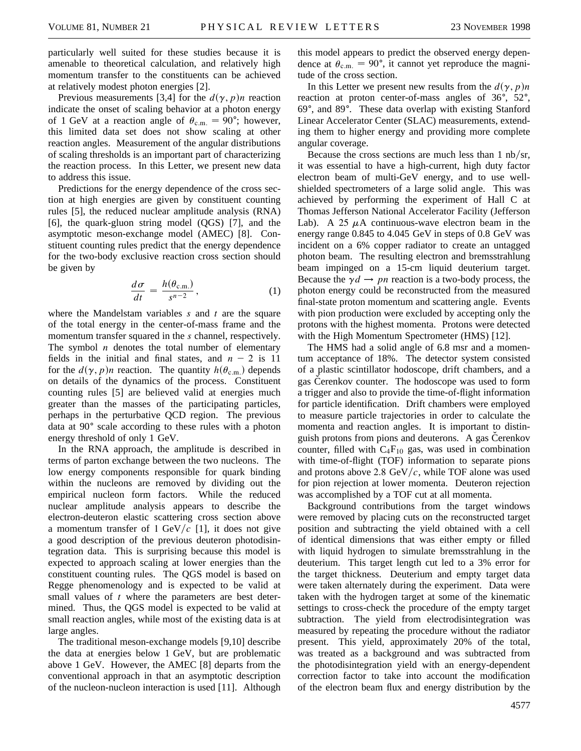particularly well suited for these studies because it is amenable to theoretical calculation, and relatively high momentum transfer to the constituents can be achieved at relatively modest photon energies [2].

Previous measurements [3,4] for the  $d(\gamma, p)n$  reaction indicate the onset of scaling behavior at a photon energy of 1 GeV at a reaction angle of  $\theta_{\rm c.m.} = 90^{\circ}$ ; however, this limited data set does not show scaling at other reaction angles. Measurement of the angular distributions of scaling thresholds is an important part of characterizing the reaction process. In this Letter, we present new data to address this issue.

Predictions for the energy dependence of the cross section at high energies are given by constituent counting rules [5], the reduced nuclear amplitude analysis (RNA) [6], the quark-gluon string model (QGS) [7], and the asymptotic meson-exchange model (AMEC) [8]. Constituent counting rules predict that the energy dependence for the two-body exclusive reaction cross section should be given by

$$
\frac{d\sigma}{dt} = \frac{h(\theta_{\text{c.m.}})}{s^{n-2}},\tag{1}
$$

where the Mandelstam variables *s* and *t* are the square of the total energy in the center-of-mass frame and the momentum transfer squared in the *s* channel, respectively. The symbol *n* denotes the total number of elementary fields in the initial and final states, and  $n - 2$  is 11 for the  $d(\gamma, p)n$  reaction. The quantity  $h(\theta_{c.m.})$  depends on details of the dynamics of the process. Constituent counting rules [5] are believed valid at energies much greater than the masses of the participating particles, perhaps in the perturbative QCD region. The previous data at  $90^{\circ}$  scale according to these rules with a photon energy threshold of only 1 GeV.

In the RNA approach, the amplitude is described in terms of parton exchange between the two nucleons. The low energy components responsible for quark binding within the nucleons are removed by dividing out the empirical nucleon form factors. While the reduced nuclear amplitude analysis appears to describe the electron-deuteron elastic scattering cross section above a momentum transfer of 1 GeV/ $c$  [1], it does not give a good description of the previous deuteron photodisintegration data. This is surprising because this model is expected to approach scaling at lower energies than the constituent counting rules. The QGS model is based on Regge phenomenology and is expected to be valid at small values of *t* where the parameters are best determined. Thus, the QGS model is expected to be valid at small reaction angles, while most of the existing data is at large angles.

The traditional meson-exchange models [9,10] describe the data at energies below 1 GeV, but are problematic above 1 GeV. However, the AMEC [8] departs from the conventional approach in that an asymptotic description of the nucleon-nucleon interaction is used [11]. Although this model appears to predict the observed energy dependence at  $\theta_{\rm c.m.} = 90^{\circ}$ , it cannot yet reproduce the magnitude of the cross section.

In this Letter we present new results from the  $d(\gamma, p)n$ reaction at proton center-of-mass angles of  $36^{\circ}$ ,  $52^{\circ}$ , 69°, and 89°. These data overlap with existing Stanford Linear Accelerator Center (SLAC) measurements, extending them to higher energy and providing more complete angular coverage.

Because the cross sections are much less than  $1 \text{ nb/sr}$ , it was essential to have a high-current, high duty factor electron beam of multi-GeV energy, and to use wellshielded spectrometers of a large solid angle. This was achieved by performing the experiment of Hall C at Thomas Jefferson National Accelerator Facility (Jefferson Lab). A 25  $\mu$ A continuous-wave electron beam in the energy range 0.845 to 4.045 GeV in steps of 0.8 GeV was incident on a 6% copper radiator to create an untagged photon beam. The resulting electron and bremsstrahlung beam impinged on a 15-cm liquid deuterium target. Because the  $\gamma d \rightarrow pn$  reaction is a two-body process, the photon energy could be reconstructed from the measured final-state proton momentum and scattering angle. Events with pion production were excluded by accepting only the protons with the highest momenta. Protons were detected with the High Momentum Spectrometer (HMS) [12].

The HMS had a solid angle of 6.8 msr and a momentum acceptance of 18%. The detector system consisted of a plastic scintillator hodoscope, drift chambers, and a gas Cerenkov counter. The hodoscope was used to form a trigger and also to provide the time-of-flight information for particle identification. Drift chambers were employed to measure particle trajectories in order to calculate the momenta and reaction angles. It is important to distinguish protons from pions and deuterons. A gas Čerenkov counter, filled with  $C_4F_{10}$  gas, was used in combination with time-of-flight (TOF) information to separate pions and protons above 2.8  $GeV/c$ , while TOF alone was used for pion rejection at lower momenta. Deuteron rejection was accomplished by a TOF cut at all momenta.

Background contributions from the target windows were removed by placing cuts on the reconstructed target position and subtracting the yield obtained with a cell of identical dimensions that was either empty or filled with liquid hydrogen to simulate bremsstrahlung in the deuterium. This target length cut led to a 3% error for the target thickness. Deuterium and empty target data were taken alternately during the experiment. Data were taken with the hydrogen target at some of the kinematic settings to cross-check the procedure of the empty target subtraction. The yield from electrodisintegration was measured by repeating the procedure without the radiator present. This yield, approximately 20% of the total, was treated as a background and was subtracted from the photodisintegration yield with an energy-dependent correction factor to take into account the modification of the electron beam flux and energy distribution by the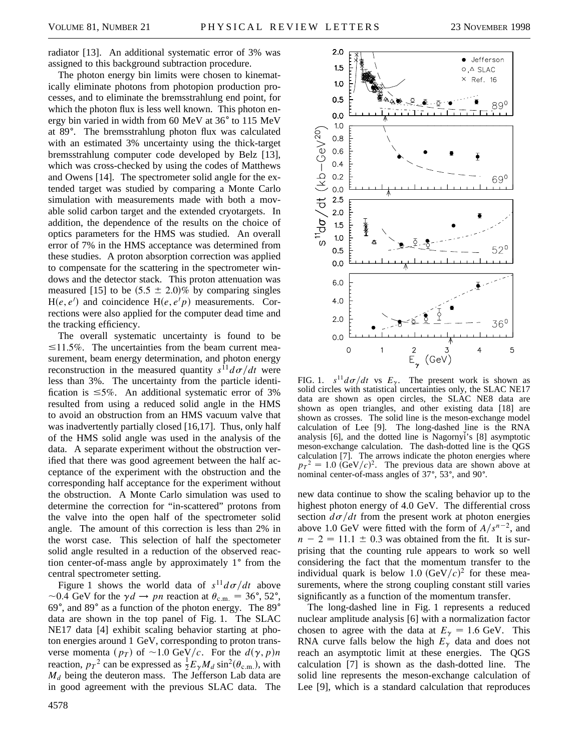radiator [13]. An additional systematic error of 3% was assigned to this background subtraction procedure.

The photon energy bin limits were chosen to kinematically eliminate photons from photopion production processes, and to eliminate the bremsstrahlung end point, for which the photon flux is less well known. This photon energy bin varied in width from 60 MeV at 36° to 115 MeV at 89°. The bremsstrahlung photon flux was calculated with an estimated 3% uncertainty using the thick-target bremsstrahlung computer code developed by Belz [13], which was cross-checked by using the codes of Matthews and Owens [14]. The spectrometer solid angle for the extended target was studied by comparing a Monte Carlo simulation with measurements made with both a movable solid carbon target and the extended cryotargets. In addition, the dependence of the results on the choice of optics parameters for the HMS was studied. An overall error of 7% in the HMS acceptance was determined from these studies. A proton absorption correction was applied to compensate for the scattering in the spectrometer windows and the detector stack. This proton attenuation was measured [15] to be  $(5.5 \pm 2.0)\%$  by comparing singles  $H(e, e')$  and coincidence  $H(e, e'p)$  measurements. Corrections were also applied for the computer dead time and the tracking efficiency.

The overall systematic uncertainty is found to be  $\leq$ 11.5%. The uncertainties from the beam current measurement, beam energy determination, and photon energy reconstruction in the measured quantity  $s^{11}d\sigma/dt$  were less than 3%. The uncertainty from the particle identification is  $\leq 5\%$ . An additional systematic error of 3% resulted from using a reduced solid angle in the HMS to avoid an obstruction from an HMS vacuum valve that was inadvertently partially closed [16,17]. Thus, only half of the HMS solid angle was used in the analysis of the data. A separate experiment without the obstruction verified that there was good agreement between the half acceptance of the experiment with the obstruction and the corresponding half acceptance for the experiment without the obstruction. A Monte Carlo simulation was used to determine the correction for "in-scattered" protons from the valve into the open half of the spectrometer solid angle. The amount of this correction is less than 2% in the worst case. This selection of half the spectometer solid angle resulted in a reduction of the observed reaction center-of-mass angle by approximately  $1^{\circ}$  from the central spectrometer setting.

Figure 1 shows the world data of  $s^{11}d\sigma/dt$  above  $\sim$ 0.4 GeV for the  $\gamma d \rightarrow pn$  reaction at  $\theta_{c.m.} = 36^{\circ}, 52^{\circ}$ , 69 $\degree$ , and 89 $\degree$  as a function of the photon energy. The 89 $\degree$ data are shown in the top panel of Fig. 1. The SLAC NE17 data [4] exhibit scaling behavior starting at photon energies around 1 GeV, corresponding to proton transverse momenta ( $p_T$ ) of ~1.0 GeV/c. For the  $d(\gamma, p)n$ reaction,  $p_T^2$  can be expressed as  $\frac{1}{2}E_\gamma M_d \sin^2(\theta_{\text{c.m.}})$ , with  $M_d$  being the deuteron mass. The Jefferson Lab data are in good agreement with the previous SLAC data. The



FIG. 1.  $s^{11}d\sigma/dt$  vs  $E_{\gamma}$ . The present work is shown as solid circles with statistical uncertainties only, the SLAC NE17 data are shown as open circles, the SLAC NE8 data are shown as open triangles, and other existing data [18] are shown as crosses. The solid line is the meson-exchange model calculation of Lee [9]. The long-dashed line is the RNA analysis [6], and the dotted line is Nagornyi's [8] asymptotic meson-exchange calculation. The dash-dotted line is the QGS calculation [7]. The arrows indicate the photon energies where  $p_T^2 = 1.0$  (GeV/c)<sup>2</sup>. The previous data are shown above at nominal center-of-mass angles of 37°, 53°, and 90°.

new data continue to show the scaling behavior up to the highest photon energy of 4.0 GeV. The differential cross section  $d\sigma/dt$  from the present work at photon energies above 1.0 GeV were fitted with the form of  $A/s^{n-2}$ , and  $n - 2 = 11.1 \pm 0.3$  was obtained from the fit. It is surprising that the counting rule appears to work so well considering the fact that the momentum transfer to the individual quark is below 1.0  $(GeV/c)^2$  for these measurements, where the strong coupling constant still varies significantly as a function of the momentum transfer.

The long-dashed line in Fig. 1 represents a reduced nuclear amplitude analysis [6] with a normalization factor chosen to agree with the data at  $E_{\gamma} = 1.6$  GeV. This RNA curve falls below the high  $E<sub>\gamma</sub>$  data and does not reach an asymptotic limit at these energies. The QGS calculation [7] is shown as the dash-dotted line. The solid line represents the meson-exchange calculation of Lee [9], which is a standard calculation that reproduces